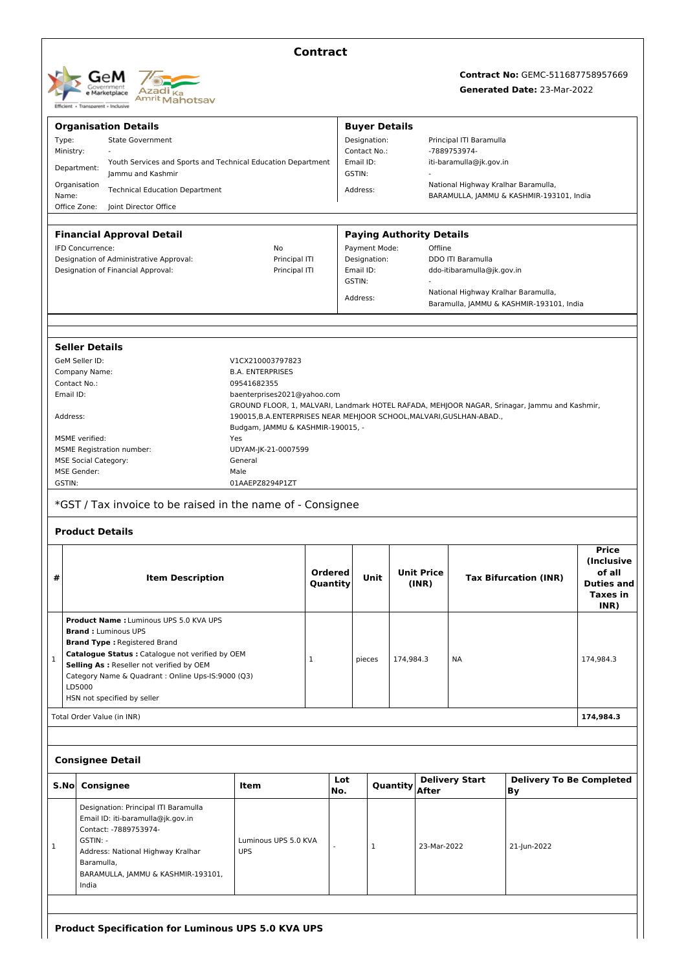| GeM<br>Government<br>e Marketplace<br>Transparent - Inclusive<br>Ffficient + | Azadi <sub>Ka</sub><br><sup>Amrit</sup> Mahotsav |
|------------------------------------------------------------------------------|--------------------------------------------------|
|------------------------------------------------------------------------------|--------------------------------------------------|

## **Contract**

# **Contract No:** GEMC-511687758957669

## **Generated Date:** 23-Mar-2022

|              | <b>Organisation Details</b>                                                                                                                                                                                      |                                                                                                            |                     |                           | <b>Buyer Details</b>            |                            |                                     |                                                                                 |                                       |                                                                                       |  |
|--------------|------------------------------------------------------------------------------------------------------------------------------------------------------------------------------------------------------------------|------------------------------------------------------------------------------------------------------------|---------------------|---------------------------|---------------------------------|----------------------------|-------------------------------------|---------------------------------------------------------------------------------|---------------------------------------|---------------------------------------------------------------------------------------|--|
| Type:        | <b>State Government</b>                                                                                                                                                                                          |                                                                                                            |                     | Designation:              |                                 |                            |                                     | Principal ITI Baramulla                                                         |                                       |                                                                                       |  |
|              | Ministry:                                                                                                                                                                                                        |                                                                                                            |                     | Contact No.:              |                                 |                            |                                     | -7889753974-                                                                    |                                       |                                                                                       |  |
|              | Youth Services and Sports and Technical Education Department<br>Department:<br>Jammu and Kashmir                                                                                                                 |                                                                                                            |                     | Email ID:<br>GSTIN:       |                                 | iti-baramulla@jk.gov.in    |                                     |                                                                                 |                                       |                                                                                       |  |
| Name:        | Organisation<br><b>Technical Education Department</b>                                                                                                                                                            |                                                                                                            |                     | Address:                  |                                 |                            |                                     | National Highway Kralhar Baramulla,<br>BARAMULLA, JAMMU & KASHMIR-193101, India |                                       |                                                                                       |  |
|              | Office Zone:<br>Joint Director Office                                                                                                                                                                            |                                                                                                            |                     |                           |                                 |                            |                                     |                                                                                 |                                       |                                                                                       |  |
|              |                                                                                                                                                                                                                  |                                                                                                            |                     |                           |                                 |                            |                                     |                                                                                 |                                       |                                                                                       |  |
|              | <b>Financial Approval Detail</b>                                                                                                                                                                                 |                                                                                                            |                     |                           | <b>Paying Authority Details</b> |                            |                                     |                                                                                 |                                       |                                                                                       |  |
|              | IFD Concurrence:<br>No                                                                                                                                                                                           |                                                                                                            |                     | Payment Mode:             |                                 |                            |                                     | Offline                                                                         |                                       |                                                                                       |  |
|              | Designation of Administrative Approval:<br>Principal ITI                                                                                                                                                         |                                                                                                            |                     | Designation:<br>Email ID: |                                 |                            |                                     | DDO ITI Baramulla<br>ddo-itibaramulla@jk.gov.in                                 |                                       |                                                                                       |  |
|              | Designation of Financial Approval:                                                                                                                                                                               | Principal ITI                                                                                              |                     | GSTIN:                    |                                 |                            |                                     |                                                                                 |                                       |                                                                                       |  |
|              |                                                                                                                                                                                                                  |                                                                                                            |                     |                           |                                 |                            | National Highway Kralhar Baramulla, |                                                                                 |                                       |                                                                                       |  |
|              |                                                                                                                                                                                                                  |                                                                                                            |                     | Address:                  |                                 |                            |                                     | Baramulla, JAMMU & KASHMIR-193101, India                                        |                                       |                                                                                       |  |
|              |                                                                                                                                                                                                                  |                                                                                                            |                     |                           |                                 |                            |                                     |                                                                                 |                                       |                                                                                       |  |
|              | <b>Seller Details</b>                                                                                                                                                                                            |                                                                                                            |                     |                           |                                 |                            |                                     |                                                                                 |                                       |                                                                                       |  |
|              | GeM Seller ID:                                                                                                                                                                                                   | V1CX210003797823                                                                                           |                     |                           |                                 |                            |                                     |                                                                                 |                                       |                                                                                       |  |
|              | Company Name:                                                                                                                                                                                                    | <b>B.A. ENTERPRISES</b>                                                                                    |                     |                           |                                 |                            |                                     |                                                                                 |                                       |                                                                                       |  |
| Contact No.: |                                                                                                                                                                                                                  | 09541682355                                                                                                |                     |                           |                                 |                            |                                     |                                                                                 |                                       |                                                                                       |  |
| Email ID:    |                                                                                                                                                                                                                  | baenterprises2021@yahoo.com                                                                                |                     |                           |                                 |                            |                                     |                                                                                 |                                       |                                                                                       |  |
|              |                                                                                                                                                                                                                  | GROUND FLOOR, 1, MALVARI, Landmark HOTEL RAFADA, MEHJOOR NAGAR, Srinagar, Jammu and Kashmir,               |                     |                           |                                 |                            |                                     |                                                                                 |                                       |                                                                                       |  |
| Address:     |                                                                                                                                                                                                                  | 190015, B.A. ENTERPRISES NEAR MEHJOOR SCHOOL, MALVARI, GUSLHAN-ABAD.,<br>Budgam, JAMMU & KASHMIR-190015, - |                     |                           |                                 |                            |                                     |                                                                                 |                                       |                                                                                       |  |
|              | MSME verified:                                                                                                                                                                                                   | Yes                                                                                                        |                     |                           |                                 |                            |                                     |                                                                                 |                                       |                                                                                       |  |
|              | <b>MSME Registration number:</b>                                                                                                                                                                                 | UDYAM-JK-21-0007599                                                                                        |                     |                           |                                 |                            |                                     |                                                                                 |                                       |                                                                                       |  |
|              | <b>MSE Social Category:</b>                                                                                                                                                                                      | General                                                                                                    |                     |                           |                                 |                            |                                     |                                                                                 |                                       |                                                                                       |  |
|              | <b>MSE Gender:</b>                                                                                                                                                                                               | Male                                                                                                       |                     |                           |                                 |                            |                                     |                                                                                 |                                       |                                                                                       |  |
| GSTIN:       |                                                                                                                                                                                                                  | 01AAEPZ8294P1ZT                                                                                            |                     |                           |                                 |                            |                                     |                                                                                 |                                       |                                                                                       |  |
|              | *GST / Tax invoice to be raised in the name of - Consignee<br><b>Product Details</b>                                                                                                                             |                                                                                                            |                     |                           |                                 |                            |                                     |                                                                                 |                                       |                                                                                       |  |
| #            | <b>Item Description</b>                                                                                                                                                                                          |                                                                                                            | Ordered<br>Quantity |                           | Unit                            | <b>Unit Price</b><br>(INR) |                                     | <b>Tax Bifurcation (INR)</b>                                                    |                                       | <b>Price</b><br><i>(Inclusive)</i><br>of all<br><b>Duties and</b><br>Taxes in<br>INR) |  |
|              | <b>Product Name: Luminous UPS 5.0 KVA UPS</b><br><b>Brand: Luminous UPS</b>                                                                                                                                      |                                                                                                            |                     |                           |                                 |                            |                                     |                                                                                 |                                       |                                                                                       |  |
|              | <b>Brand Type: Registered Brand</b>                                                                                                                                                                              |                                                                                                            |                     |                           |                                 | 174,984.3                  |                                     |                                                                                 |                                       |                                                                                       |  |
| $\mathbf{1}$ | Catalogue Status : Catalogue not verified by OEM                                                                                                                                                                 |                                                                                                            | $\mathbf{1}$        |                           | pieces                          |                            |                                     | NA                                                                              |                                       | 174,984.3                                                                             |  |
|              | Selling As : Reseller not verified by OEM                                                                                                                                                                        |                                                                                                            |                     |                           |                                 |                            |                                     |                                                                                 |                                       |                                                                                       |  |
|              | Category Name & Quadrant : Online Ups-IS:9000 (Q3)                                                                                                                                                               |                                                                                                            |                     |                           |                                 |                            |                                     |                                                                                 |                                       |                                                                                       |  |
|              | LD5000<br>HSN not specified by seller                                                                                                                                                                            |                                                                                                            |                     |                           |                                 |                            |                                     |                                                                                 |                                       |                                                                                       |  |
|              | Total Order Value (in INR)                                                                                                                                                                                       |                                                                                                            |                     |                           |                                 |                            |                                     |                                                                                 |                                       | 174,984.3                                                                             |  |
|              |                                                                                                                                                                                                                  |                                                                                                            |                     |                           |                                 |                            |                                     |                                                                                 |                                       |                                                                                       |  |
|              | <b>Consignee Detail</b>                                                                                                                                                                                          |                                                                                                            |                     |                           |                                 |                            |                                     |                                                                                 |                                       |                                                                                       |  |
| S.No         | Consignee                                                                                                                                                                                                        | Item                                                                                                       |                     | Lot<br>No.                |                                 | Quantity                   | <b>After</b>                        | <b>Delivery Start</b>                                                           | <b>Delivery To Be Completed</b><br>Вy |                                                                                       |  |
| 1            | Designation: Principal ITI Baramulla<br>Email ID: iti-baramulla@jk.gov.in<br>Contact: -7889753974-<br>GSTIN: -<br>Address: National Highway Kralhar<br>Baramulla,<br>BARAMULLA, JAMMU & KASHMIR-193101,<br>India | Luminous UPS 5.0 KVA<br><b>UPS</b>                                                                         |                     |                           | $\mathbf{1}$                    |                            | 23-Mar-2022                         |                                                                                 | 21-Jun-2022                           |                                                                                       |  |
|              |                                                                                                                                                                                                                  |                                                                                                            |                     |                           |                                 |                            |                                     |                                                                                 |                                       |                                                                                       |  |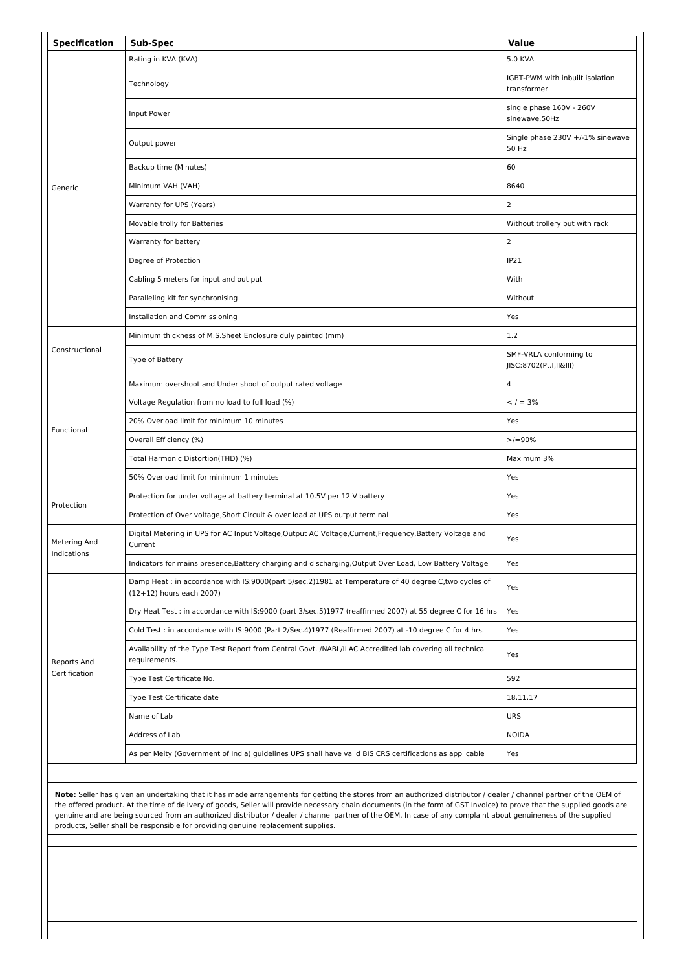| <b>Specification</b> | Sub-Spec                                                                                                                         | <b>Value</b>                                     |  |
|----------------------|----------------------------------------------------------------------------------------------------------------------------------|--------------------------------------------------|--|
|                      | Rating in KVA (KVA)                                                                                                              | 5.0 KVA                                          |  |
|                      | Technology                                                                                                                       | IGBT-PWM with inbuilt isolation<br>transformer   |  |
|                      | Input Power                                                                                                                      | single phase 160V - 260V<br>sinewave,50Hz        |  |
|                      | Output power                                                                                                                     | Single phase 230V +/-1% sinewave<br>50 Hz        |  |
|                      | Backup time (Minutes)                                                                                                            | 60                                               |  |
| Generic              | Minimum VAH (VAH)                                                                                                                | 8640                                             |  |
|                      | Warranty for UPS (Years)                                                                                                         | $\overline{2}$                                   |  |
|                      | Movable trolly for Batteries                                                                                                     | Without trollery but with rack                   |  |
|                      | Warranty for battery                                                                                                             | $\overline{2}$                                   |  |
|                      | Degree of Protection                                                                                                             | IP21                                             |  |
|                      | Cabling 5 meters for input and out put                                                                                           | With                                             |  |
|                      | Paralleling kit for synchronising                                                                                                | Without                                          |  |
|                      | Installation and Commissioning                                                                                                   | Yes                                              |  |
|                      | Minimum thickness of M.S.Sheet Enclosure duly painted (mm)                                                                       | 1.2                                              |  |
| Constructional       | Type of Battery                                                                                                                  | SMF-VRLA conforming to<br>JISC:8702(Pt.I,II&III) |  |
|                      | Maximum overshoot and Under shoot of output rated voltage                                                                        | $\overline{4}$                                   |  |
|                      | Voltage Regulation from no load to full load (%)                                                                                 | $<$ / = 3%                                       |  |
|                      | 20% Overload limit for minimum 10 minutes                                                                                        | Yes                                              |  |
| Functional           | Overall Efficiency (%)                                                                                                           | $>/-90\%$                                        |  |
|                      | Total Harmonic Distortion(THD) (%)                                                                                               | Maximum 3%                                       |  |
|                      | 50% Overload limit for minimum 1 minutes                                                                                         | Yes                                              |  |
|                      | Protection for under voltage at battery terminal at 10.5V per 12 V battery                                                       | Yes                                              |  |
| Protection           | Protection of Over voltage, Short Circuit & over load at UPS output terminal                                                     | Yes                                              |  |
| Metering And         | Digital Metering in UPS for AC Input Voltage, Output AC Voltage, Current, Frequency, Battery Voltage and<br>Current              | Yes                                              |  |
| Indications          | Indicators for mains presence, Battery charging and discharging, Output Over Load, Low Battery Voltage                           | Yes                                              |  |
|                      | Damp Heat : in accordance with IS:9000(part 5/sec.2)1981 at Temperature of 40 degree C,two cycles of<br>(12+12) hours each 2007) | Yes                                              |  |
|                      | Dry Heat Test : in accordance with IS:9000 (part 3/sec.5)1977 (reaffirmed 2007) at 55 degree C for 16 hrs                        | Yes                                              |  |
|                      | Cold Test : in accordance with IS:9000 (Part 2/Sec.4)1977 (Reaffirmed 2007) at -10 degree C for 4 hrs.                           | Yes                                              |  |
| Reports And          | Availability of the Type Test Report from Central Govt. /NABL/ILAC Accredited lab covering all technical<br>requirements.        | Yes                                              |  |
| Certification        | Type Test Certificate No.                                                                                                        | 592                                              |  |
|                      | Type Test Certificate date                                                                                                       | 18.11.17                                         |  |
|                      | Name of Lab                                                                                                                      | <b>URS</b>                                       |  |
|                      | Address of Lab                                                                                                                   | <b>NOIDA</b>                                     |  |
|                      | As per Meity (Government of India) guidelines UPS shall have valid BIS CRS certifications as applicable                          | Yes                                              |  |
|                      |                                                                                                                                  |                                                  |  |
|                      |                                                                                                                                  |                                                  |  |

**Note:** Seller has given an undertaking that it has made arrangements for getting the stores from an authorized distributor / dealer / channel partner of the OEM of the offered product. At the time of delivery of goods, Seller will provide necessary chain documents (in the form of GST Invoice) to prove that the supplied goods are genuine and are being sourced from an authorized distributor / dealer / channel partner of the OEM. In case of any complaint about genuineness of the supplied products, Seller shall be responsible for providing genuine replacement supplies.